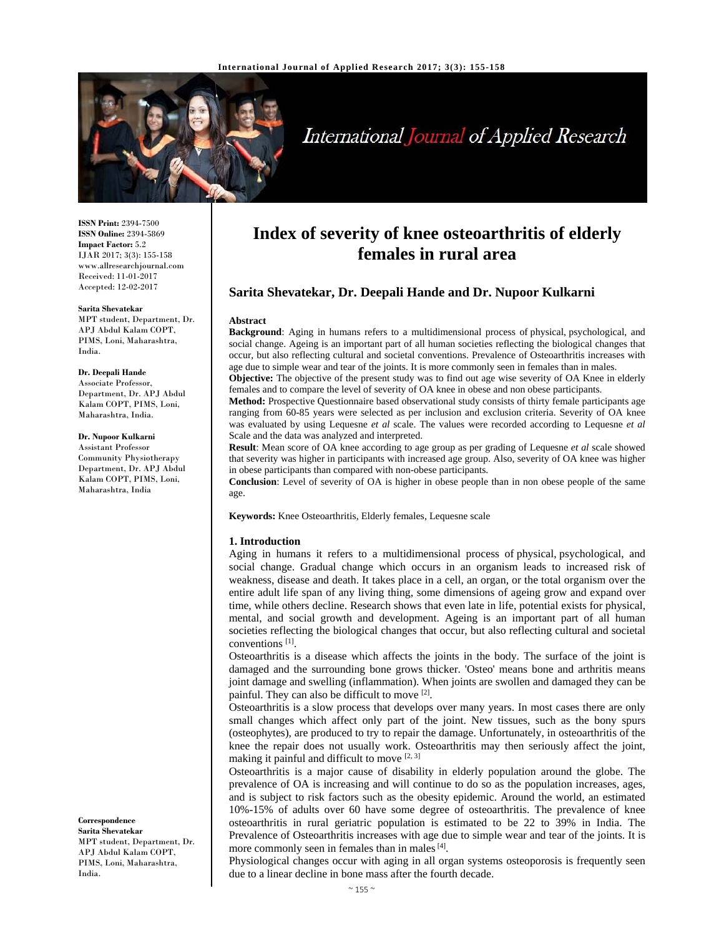

# International Journal of Applied Research

**ISSN Print:** 2394-7500 **ISSN Online:** 2394-5869 **Impact Factor:** 5.2 IJAR 2017; 3(3): 155-158 www.allresearchjournal.com Received: 11-01-2017 Accepted: 12-02-2017

#### **Sarita Shevatekar**

MPT student, Department, Dr. APJ Abdul Kalam COPT, PIMS, Loni, Maharashtra, India.

#### **Dr. Deepali Hande**

Associate Professor, Department, Dr. APJ Abdul Kalam COPT, PIMS, Loni, Maharashtra, India.

#### **Dr. Nupoor Kulkarni**

Assistant Professor Community Physiotherapy Department, Dr. APJ Abdul Kalam COPT, PIMS, Loni, Maharashtra, India

**Correspondence Sarita Shevatekar**  MPT student, Department, Dr. APJ Abdul Kalam COPT, PIMS, Loni, Maharashtra, India.

# **Index of severity of knee osteoarthritis of elderly females in rural area**

# **Sarita Shevatekar, Dr. Deepali Hande and Dr. Nupoor Kulkarni**

#### **Abstract**

**Background**: Aging in humans refers to a multidimensional process of physical, psychological, and social change. Ageing is an important part of all human societies reflecting the biological changes that occur, but also reflecting cultural and societal conventions. Prevalence of Osteoarthritis increases with age due to simple wear and tear of the joints. It is more commonly seen in females than in males.

**Objective:** The objective of the present study was to find out age wise severity of OA Knee in elderly females and to compare the level of severity of OA knee in obese and non obese participants.

**Method:** Prospective Questionnaire based observational study consists of thirty female participants age ranging from 60-85 years were selected as per inclusion and exclusion criteria. Severity of OA knee was evaluated by using Lequesne *et al* scale. The values were recorded according to Lequesne *et al* Scale and the data was analyzed and interpreted.

**Result**: Mean score of OA knee according to age group as per grading of Lequesne *et al* scale showed that severity was higher in participants with increased age group. Also, severity of OA knee was higher in obese participants than compared with non-obese participants.

**Conclusion**: Level of severity of OA is higher in obese people than in non obese people of the same age.

**Keywords:** Knee Osteoarthritis, Elderly females, Lequesne scale

#### **1. Introduction**

Aging in humans it refers to a multidimensional process of physical, psychological, and social change. Gradual change which occurs in an organism leads to increased risk of weakness, disease and death. It takes place in a cell, an organ, or the total organism over the entire adult life span of any living thing, some dimensions of ageing grow and expand over time, while others decline. Research shows that even late in life, potential exists for physical, mental, and social growth and development. Ageing is an important part of all human societies reflecting the biological changes that occur, but also reflecting cultural and societal conventions [1].

Osteoarthritis is a disease which affects the joints in the body. The surface of the joint is damaged and the surrounding bone grows thicker. 'Osteo' means bone and arthritis means joint damage and swelling (inflammation). When joints are swollen and damaged they can be painful. They can also be difficult to move <sup>[2]</sup>.

Osteoarthritis is a slow process that develops over many years. In most cases there are only small changes which affect only part of the joint. New tissues, such as the bony spurs (osteophytes), are produced to try to repair the damage. Unfortunately, in osteoarthritis of the knee the repair does not usually work. Osteoarthritis may then seriously affect the joint, making it painful and difficult to move [2, 3]

Osteoarthritis is a major cause of disability in elderly population around the globe. The prevalence of OA is increasing and will continue to do so as the population increases, ages, and is subject to risk factors such as the obesity epidemic. Around the world, an estimated 10%-15% of adults over 60 have some degree of osteoarthritis. The prevalence of knee osteoarthritis in rural geriatric population is estimated to be 22 to 39% in India. The Prevalence of Osteoarthritis increases with age due to simple wear and tear of the joints. It is more commonly seen in females than in males [4].

Physiological changes occur with aging in all organ systems osteoporosis is frequently seen due to a linear decline in bone mass after the fourth decade.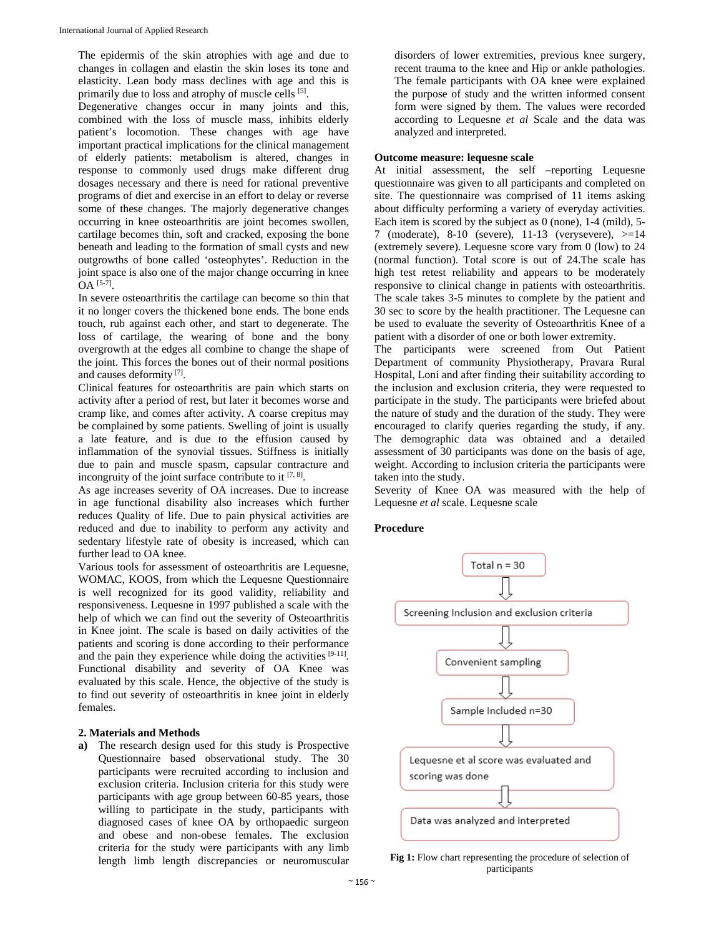The epidermis of the skin atrophies with age and due to changes in collagen and elastin the skin loses its tone and elasticity. Lean body mass declines with age and this is primarily due to loss and atrophy of muscle cells <sup>[5]</sup>.

Degenerative changes occur in many joints and this, combined with the loss of muscle mass, inhibits elderly patient's locomotion. These changes with age have important practical implications for the clinical management of elderly patients: metabolism is altered, changes in response to commonly used drugs make different drug dosages necessary and there is need for rational preventive programs of diet and exercise in an effort to delay or reverse some of these changes. The majorly degenerative changes occurring in knee osteoarthritis are joint becomes swollen, cartilage becomes thin, soft and cracked, exposing the bone beneath and leading to the formation of small cysts and new outgrowths of bone called 'osteophytes'. Reduction in the joint space is also one of the major change occurring in knee  $OA^{[5-7]}$ .

In severe osteoarthritis the cartilage can become so thin that it no longer covers the thickened bone ends. The bone ends touch, rub against each other, and start to degenerate. The loss of cartilage, the wearing of bone and the bony overgrowth at the edges all combine to change the shape of the joint. This forces the bones out of their normal positions and causes deformity [7].

Clinical features for osteoarthritis are pain which starts on activity after a period of rest, but later it becomes worse and cramp like, and comes after activity. A coarse crepitus may be complained by some patients. Swelling of joint is usually a late feature, and is due to the effusion caused by inflammation of the synovial tissues. Stiffness is initially due to pain and muscle spasm, capsular contracture and incongruity of the joint surface contribute to it  $[7, 8]$ .

As age increases severity of OA increases. Due to increase in age functional disability also increases which further reduces Quality of life. Due to pain physical activities are reduced and due to inability to perform any activity and sedentary lifestyle rate of obesity is increased, which can further lead to OA knee.

Various tools for assessment of osteoarthritis are Lequesne, WOMAC, KOOS, from which the Lequesne Questionnaire is well recognized for its good validity, reliability and responsiveness. Lequesne in 1997 published a scale with the help of which we can find out the severity of Osteoarthritis in Knee joint. The scale is based on daily activities of the patients and scoring is done according to their performance and the pain they experience while doing the activities [9-11]. Functional disability and severity of OA Knee was evaluated by this scale. Hence, the objective of the study is to find out severity of osteoarthritis in knee joint in elderly females.

# **2. Materials and Methods**

**a)** The research design used for this study is Prospective Questionnaire based observational study. The 30 participants were recruited according to inclusion and exclusion criteria. Inclusion criteria for this study were participants with age group between 60-85 years, those willing to participate in the study, participants with diagnosed cases of knee OA by orthopaedic surgeon and obese and non-obese females. The exclusion criteria for the study were participants with any limb length limb length discrepancies or neuromuscular

disorders of lower extremities, previous knee surgery, recent trauma to the knee and Hip or ankle pathologies. The female participants with OA knee were explained the purpose of study and the written informed consent form were signed by them. The values were recorded according to Lequesne *et al* Scale and the data was analyzed and interpreted.

#### **Outcome measure: lequesne scale**

At initial assessment, the self –reporting Lequesne questionnaire was given to all participants and completed on site. The questionnaire was comprised of 11 items asking about difficulty performing a variety of everyday activities. Each item is scored by the subject as 0 (none), 1-4 (mild), 5- 7 (moderate), 8-10 (severe), 11-13 (verysevere), >=14 (extremely severe). Lequesne score vary from 0 (low) to 24 (normal function). Total score is out of 24.The scale has high test retest reliability and appears to be moderately responsive to clinical change in patients with osteoarthritis. The scale takes 3-5 minutes to complete by the patient and 30 sec to score by the health practitioner. The Lequesne can be used to evaluate the severity of Osteoarthritis Knee of a patient with a disorder of one or both lower extremity.

The participants were screened from Out Patient Department of community Physiotherapy, Pravara Rural Hospital, Loni and after finding their suitability according to the inclusion and exclusion criteria, they were requested to participate in the study. The participants were briefed about the nature of study and the duration of the study. They were encouraged to clarify queries regarding the study, if any. The demographic data was obtained and a detailed assessment of 30 participants was done on the basis of age, weight. According to inclusion criteria the participants were taken into the study.

Severity of Knee OA was measured with the help of Lequesne *et al* scale. Lequesne scale

# **Procedure**



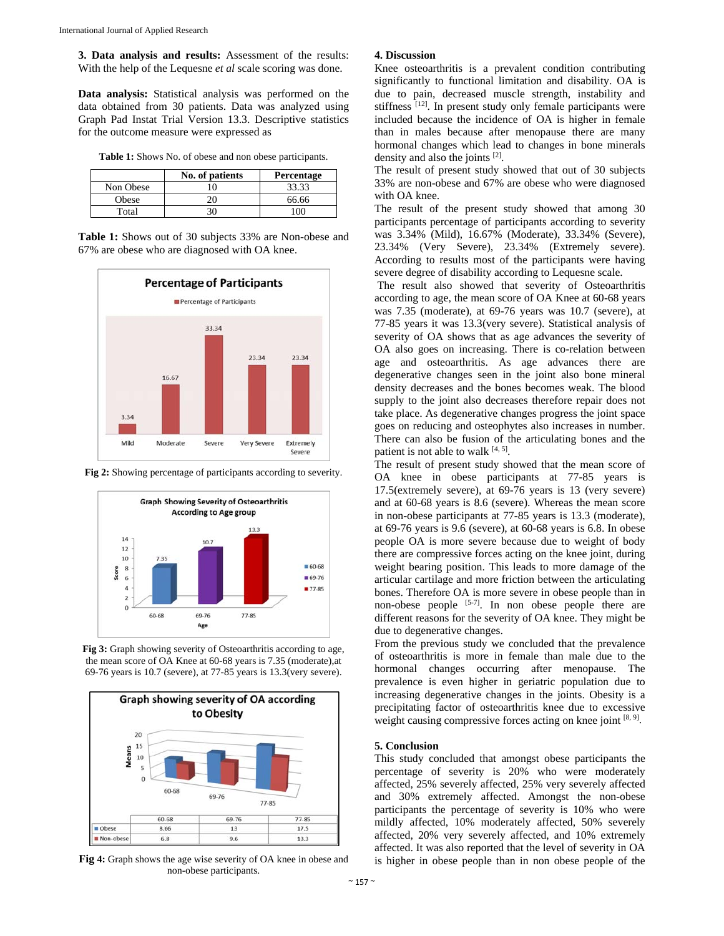**3. Data analysis and results:** Assessment of the results: With the help of the Lequesne *et al* scale scoring was done.

**Data analysis:** Statistical analysis was performed on the data obtained from 30 patients. Data was analyzed using Graph Pad Instat Trial Version 13.3. Descriptive statistics for the outcome measure were expressed as

**Table 1:** Shows No. of obese and non obese participants.

|           | No. of patients | Percentage |
|-----------|-----------------|------------|
| Non Obese |                 | 33.33      |
| Obese     |                 | 66.66      |
| Total     |                 |            |

**Table 1:** Shows out of 30 subjects 33% are Non-obese and 67% are obese who are diagnosed with OA knee.



**Fig 2:** Showing percentage of participants according to severity.



**Fig 3:** Graph showing severity of Osteoarthritis according to age, the mean score of OA Knee at 60-68 years is 7.35 (moderate),at 69-76 years is 10.7 (severe), at 77-85 years is 13.3(very severe).



**Fig 4:** Graph shows the age wise severity of OA knee in obese and non-obese participants.

#### **4. Discussion**

Knee osteoarthritis is a prevalent condition contributing significantly to functional limitation and disability. OA is due to pain, decreased muscle strength, instability and stiffness <sup>[12]</sup>. In present study only female participants were included because the incidence of OA is higher in female than in males because after menopause there are many hormonal changes which lead to changes in bone minerals density and also the joints [2].

The result of present study showed that out of 30 subjects 33% are non-obese and 67% are obese who were diagnosed with OA knee.

The result of the present study showed that among 30 participants percentage of participants according to severity was 3.34% (Mild), 16.67% (Moderate), 33.34% (Severe), 23.34% (Very Severe), 23.34% (Extremely severe). According to results most of the participants were having severe degree of disability according to Lequesne scale.

 The result also showed that severity of Osteoarthritis according to age, the mean score of OA Knee at 60-68 years was 7.35 (moderate), at 69-76 years was 10.7 (severe), at 77-85 years it was 13.3(very severe). Statistical analysis of severity of OA shows that as age advances the severity of OA also goes on increasing. There is co-relation between age and osteoarthritis. As age advances there are degenerative changes seen in the joint also bone mineral density decreases and the bones becomes weak. The blood supply to the joint also decreases therefore repair does not take place. As degenerative changes progress the joint space goes on reducing and osteophytes also increases in number. There can also be fusion of the articulating bones and the patient is not able to walk [4, 5].

The result of present study showed that the mean score of OA knee in obese participants at 77-85 years is 17.5(extremely severe), at 69-76 years is 13 (very severe) and at 60-68 years is 8.6 (severe). Whereas the mean score in non-obese participants at 77-85 years is 13.3 (moderate), at 69-76 years is 9.6 (severe), at 60-68 years is 6.8. In obese people OA is more severe because due to weight of body there are compressive forces acting on the knee joint, during weight bearing position. This leads to more damage of the articular cartilage and more friction between the articulating bones. Therefore OA is more severe in obese people than in non-obese people  $[5-7]$ . In non obese people there are different reasons for the severity of OA knee. They might be due to degenerative changes.

From the previous study we concluded that the prevalence of osteoarthritis is more in female than male due to the hormonal changes occurring after menopause. The prevalence is even higher in geriatric population due to increasing degenerative changes in the joints. Obesity is a precipitating factor of osteoarthritis knee due to excessive weight causing compressive forces acting on knee joint  $[8, 9]$ .

#### **5. Conclusion**

This study concluded that amongst obese participants the percentage of severity is 20% who were moderately affected, 25% severely affected, 25% very severely affected and 30% extremely affected. Amongst the non-obese participants the percentage of severity is 10% who were mildly affected, 10% moderately affected, 50% severely affected, 20% very severely affected, and 10% extremely affected. It was also reported that the level of severity in OA is higher in obese people than in non obese people of the